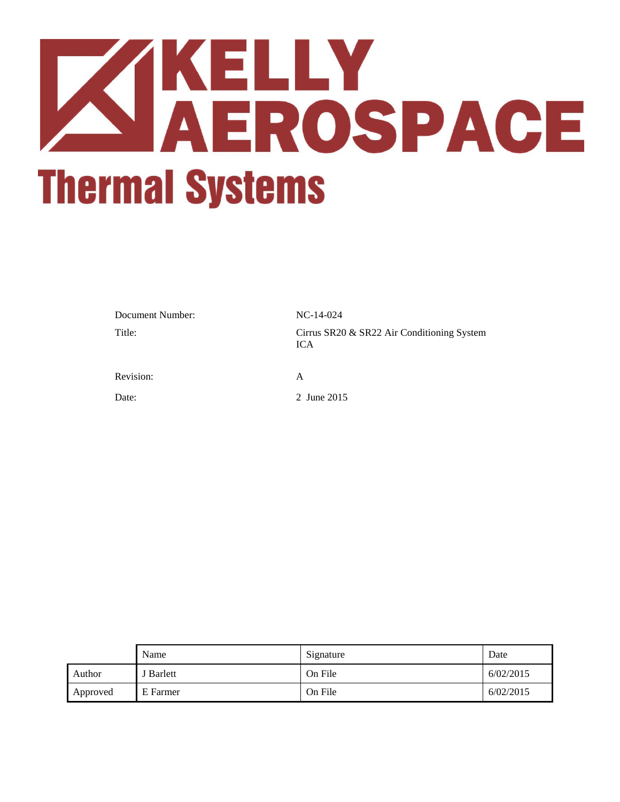# **ZIKELLY<br>AEROSPACE Thermal Systems**

| Document Number: | $NC-14-024$                                              |
|------------------|----------------------------------------------------------|
| Title:           | Cirrus SR20 & SR22 Air Conditioning System<br><b>ICA</b> |
| Revision:        | A                                                        |
| Date:            | 2 June 2015                                              |

|          | Name      | Signature | Date      |
|----------|-----------|-----------|-----------|
| Author   | J Barlett | On File   | 6/02/2015 |
| Approved | E Farmer  | On File   | 6/02/2015 |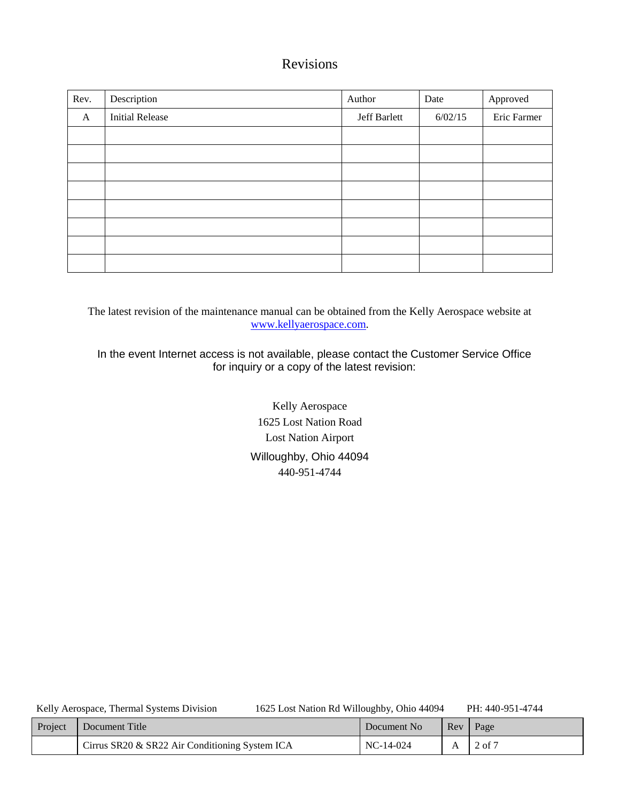# Revisions

| Rev. | Description            | Author       | Date    | Approved    |
|------|------------------------|--------------|---------|-------------|
| A    | <b>Initial Release</b> | Jeff Barlett | 6/02/15 | Eric Farmer |
|      |                        |              |         |             |
|      |                        |              |         |             |
|      |                        |              |         |             |
|      |                        |              |         |             |
|      |                        |              |         |             |
|      |                        |              |         |             |
|      |                        |              |         |             |
|      |                        |              |         |             |

The latest revision of the maintenance manual can be obtained from the Kelly Aerospace website at [www.kellyaerospace.com.](http://www.kellyaerospace.com/)

In the event Internet access is not available, please contact the Customer Service Office for inquiry or a copy of the latest revision:

> Kelly Aerospace 1625 Lost Nation Road Lost Nation Airport Willoughby, Ohio 44094 440-951-4744

| Kelly Aerospace, Thermal Systems Division | 1625 Lost Nation Rd Willoughby, Ohio 44094 | PH: 440-951-4744 |
|-------------------------------------------|--------------------------------------------|------------------|
|-------------------------------------------|--------------------------------------------|------------------|

| Project | Document Title                                 | Document No | Rev | Page                  |
|---------|------------------------------------------------|-------------|-----|-----------------------|
|         | Cirrus SR20 & SR22 Air Conditioning System ICA | $NC-14-024$ |     | $2$ of $\overline{2}$ |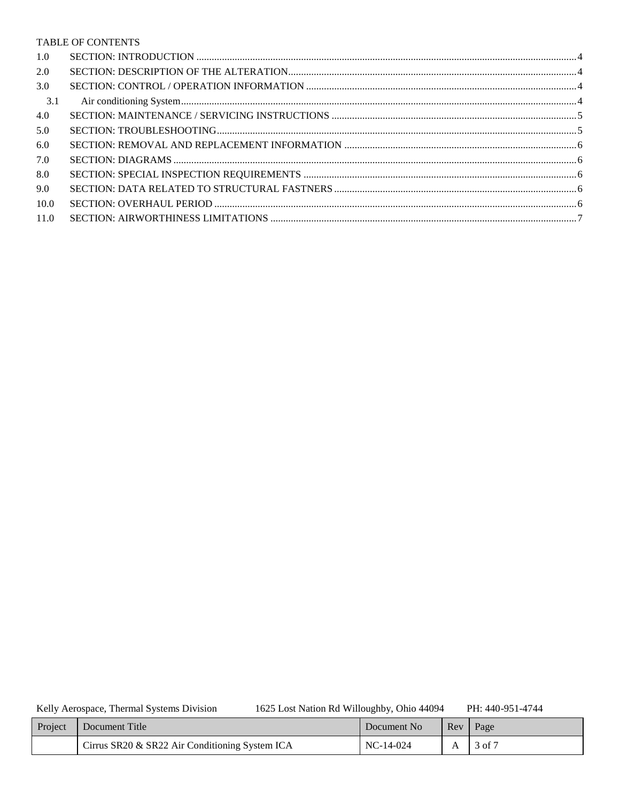### TABLE OF CONTENTS

| 1.0  |  |
|------|--|
| 2.0  |  |
| 3.0  |  |
| 3.1  |  |
| 4.0  |  |
| 5.0  |  |
| 6.0  |  |
| 7.0  |  |
| 8.0  |  |
| 9.0  |  |
| 10.0 |  |
| 11.0 |  |
|      |  |

Kelly Aerospace, Thermal Systems Division

1625 Lost Nation Rd Willoughby, Ohio 44094

PH: 440-951-4744

| Project | Document Title                                 | Document No | Rev | Page   |
|---------|------------------------------------------------|-------------|-----|--------|
|         | Cirrus SR20 & SR22 Air Conditioning System ICA | $NC-14-024$ |     | 3 of 7 |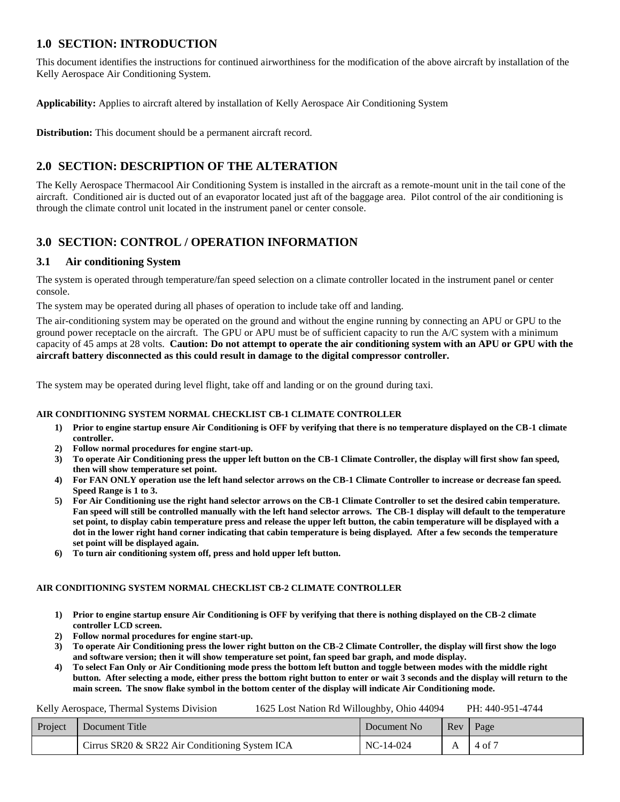# <span id="page-3-0"></span>**1.0 SECTION: INTRODUCTION**

This document identifies the instructions for continued airworthiness for the modification of the above aircraft by installation of the Kelly Aerospace Air Conditioning System.

**Applicability:** Applies to aircraft altered by installation of Kelly Aerospace Air Conditioning System

**Distribution:** This document should be a permanent aircraft record.

# <span id="page-3-1"></span>**2.0 SECTION: DESCRIPTION OF THE ALTERATION**

The Kelly Aerospace Thermacool Air Conditioning System is installed in the aircraft as a remote-mount unit in the tail cone of the aircraft. Conditioned air is ducted out of an evaporator located just aft of the baggage area. Pilot control of the air conditioning is through the climate control unit located in the instrument panel or center console.

# <span id="page-3-2"></span>**3.0 SECTION: CONTROL / OPERATION INFORMATION**

### <span id="page-3-3"></span>**3.1 Air conditioning System**

The system is operated through temperature/fan speed selection on a climate controller located in the instrument panel or center console.

The system may be operated during all phases of operation to include take off and landing.

The air-conditioning system may be operated on the ground and without the engine running by connecting an APU or GPU to the ground power receptacle on the aircraft. The GPU or APU must be of sufficient capacity to run the A/C system with a minimum capacity of 45 amps at 28 volts. **Caution: Do not attempt to operate the air conditioning system with an APU or GPU with the aircraft battery disconnected as this could result in damage to the digital compressor controller.**

The system may be operated during level flight, take off and landing or on the ground during taxi.

### **AIR CONDITIONING SYSTEM NORMAL CHECKLIST CB-1 CLIMATE CONTROLLER**

- **1) Prior to engine startup ensure Air Conditioning is OFF by verifying that there is no temperature displayed on the CB-1 climate controller.**
- **2) Follow normal procedures for engine start-up.**
- **3) To operate Air Conditioning press the upper left button on the CB-1 Climate Controller, the display will first show fan speed, then will show temperature set point.**
- **4) For FAN ONLY operation use the left hand selector arrows on the CB-1 Climate Controller to increase or decrease fan speed. Speed Range is 1 to 3.**
- **5) For Air Conditioning use the right hand selector arrows on the CB-1 Climate Controller to set the desired cabin temperature. Fan speed will still be controlled manually with the left hand selector arrows. The CB-1 display will default to the temperature set point, to display cabin temperature press and release the upper left button, the cabin temperature will be displayed with a dot in the lower right hand corner indicating that cabin temperature is being displayed. After a few seconds the temperature set point will be displayed again.**
- **6) To turn air conditioning system off, press and hold upper left button.**

### **AIR CONDITIONING SYSTEM NORMAL CHECKLIST CB-2 CLIMATE CONTROLLER**

- **1) Prior to engine startup ensure Air Conditioning is OFF by verifying that there is nothing displayed on the CB-2 climate controller LCD screen.**
- **2) Follow normal procedures for engine start-up.**
- **3) To operate Air Conditioning press the lower right button on the CB-2 Climate Controller, the display will first show the logo and software version; then it will show temperature set point, fan speed bar graph, and mode display.**
- **4) To select Fan Only or Air Conditioning mode press the bottom left button and toggle between modes with the middle right button. After selecting a mode, either press the bottom right button to enter or wait 3 seconds and the display will return to the main screen. The snow flake symbol in the bottom center of the display will indicate Air Conditioning mode.**

Kelly Aerospace, Thermal Systems Division 1625 Lost Nation Rd Willoughby, Ohio 44094 PH: 440-951-4744

| <b>Project</b> | Document Title                                 | Document No | Rev | Page   |
|----------------|------------------------------------------------|-------------|-----|--------|
|                | Cirrus SR20 & SR22 Air Conditioning System ICA | $NC-14-024$ |     | 4 of 7 |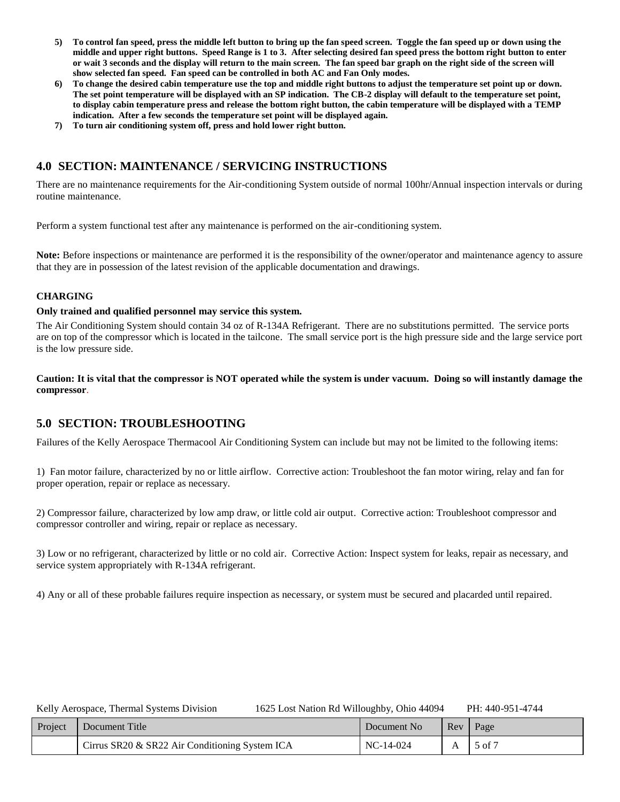- **5) To control fan speed, press the middle left button to bring up the fan speed screen. Toggle the fan speed up or down using the middle and upper right buttons. Speed Range is 1 to 3. After selecting desired fan speed press the bottom right button to enter or wait 3 seconds and the display will return to the main screen. The fan speed bar graph on the right side of the screen will show selected fan speed. Fan speed can be controlled in both AC and Fan Only modes.**
- **6) To change the desired cabin temperature use the top and middle right buttons to adjust the temperature set point up or down. The set point temperature will be displayed with an SP indication. The CB-2 display will default to the temperature set point, to display cabin temperature press and release the bottom right button, the cabin temperature will be displayed with a TEMP indication. After a few seconds the temperature set point will be displayed again.**
- **7) To turn air conditioning system off, press and hold lower right button.**

# <span id="page-4-0"></span>**4.0 SECTION: MAINTENANCE / SERVICING INSTRUCTIONS**

There are no maintenance requirements for the Air-conditioning System outside of normal 100hr/Annual inspection intervals or during routine maintenance.

Perform a system functional test after any maintenance is performed on the air-conditioning system.

**Note:** Before inspections or maintenance are performed it is the responsibility of the owner/operator and maintenance agency to assure that they are in possession of the latest revision of the applicable documentation and drawings.

### **CHARGING**

### **Only trained and qualified personnel may service this system.**

The Air Conditioning System should contain 34 oz of R-134A Refrigerant. There are no substitutions permitted. The service ports are on top of the compressor which is located in the tailcone. The small service port is the high pressure side and the large service port is the low pressure side.

**Caution: It is vital that the compressor is NOT operated while the system is under vacuum. Doing so will instantly damage the compressor**.

## <span id="page-4-1"></span>**5.0 SECTION: TROUBLESHOOTING**

Failures of the Kelly Aerospace Thermacool Air Conditioning System can include but may not be limited to the following items:

1) Fan motor failure, characterized by no or little airflow. Corrective action: Troubleshoot the fan motor wiring, relay and fan for proper operation, repair or replace as necessary.

2) Compressor failure, characterized by low amp draw, or little cold air output. Corrective action: Troubleshoot compressor and compressor controller and wiring, repair or replace as necessary.

3) Low or no refrigerant, characterized by little or no cold air. Corrective Action: Inspect system for leaks, repair as necessary, and service system appropriately with R-134A refrigerant.

4) Any or all of these probable failures require inspection as necessary, or system must be secured and placarded until repaired.

| Kelly Aerospace, Thermal Systems Division | 1625 Lost Nation Rd Willoughby, Ohio 44094 | PH: 440-951-4744 |
|-------------------------------------------|--------------------------------------------|------------------|
|-------------------------------------------|--------------------------------------------|------------------|

| Project | Document Title                                 | Document No | $\mathbf{Re}v$ | Page       |
|---------|------------------------------------------------|-------------|----------------|------------|
|         | Cirrus SR20 & SR22 Air Conditioning System ICA | $NC-14-024$ |                | $5$ of $7$ |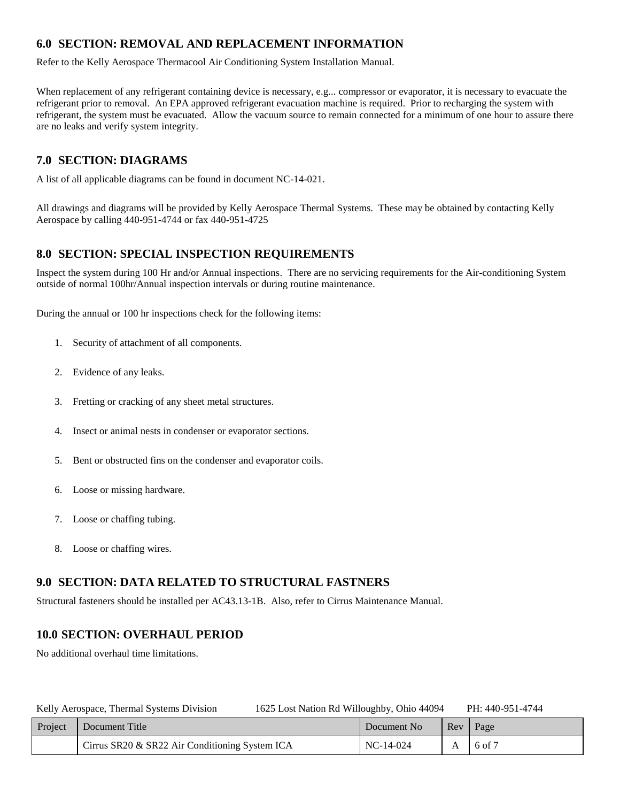# <span id="page-5-0"></span>**6.0 SECTION: REMOVAL AND REPLACEMENT INFORMATION**

Refer to the Kelly Aerospace Thermacool Air Conditioning System Installation Manual.

When replacement of any refrigerant containing device is necessary, e.g... compressor or evaporator, it is necessary to evacuate the refrigerant prior to removal. An EPA approved refrigerant evacuation machine is required. Prior to recharging the system with refrigerant, the system must be evacuated. Allow the vacuum source to remain connected for a minimum of one hour to assure there are no leaks and verify system integrity.

# <span id="page-5-1"></span>**7.0 SECTION: DIAGRAMS**

A list of all applicable diagrams can be found in document NC-14-021.

All drawings and diagrams will be provided by Kelly Aerospace Thermal Systems. These may be obtained by contacting Kelly Aerospace by calling 440-951-4744 or fax 440-951-4725

# <span id="page-5-2"></span>**8.0 SECTION: SPECIAL INSPECTION REQUIREMENTS**

Inspect the system during 100 Hr and/or Annual inspections. There are no servicing requirements for the Air-conditioning System outside of normal 100hr/Annual inspection intervals or during routine maintenance.

During the annual or 100 hr inspections check for the following items:

- 1. Security of attachment of all components.
- 2. Evidence of any leaks.
- 3. Fretting or cracking of any sheet metal structures.
- 4. Insect or animal nests in condenser or evaporator sections.
- 5. Bent or obstructed fins on the condenser and evaporator coils.
- 6. Loose or missing hardware.
- 7. Loose or chaffing tubing.
- 8. Loose or chaffing wires.

# <span id="page-5-3"></span>**9.0 SECTION: DATA RELATED TO STRUCTURAL FASTNERS**

Structural fasteners should be installed per AC43.13-1B. Also, refer to Cirrus Maintenance Manual.

# <span id="page-5-4"></span>**10.0 SECTION: OVERHAUL PERIOD**

No additional overhaul time limitations.

| 1625 Lost Nation Rd Willoughby, Ohio 44094<br>Kelly Aerospace, Thermal Systems Division |         |                                                |  | PH: 440-951-4744 |   |            |
|-----------------------------------------------------------------------------------------|---------|------------------------------------------------|--|------------------|---|------------|
|                                                                                         | Project | Document Title                                 |  | Document No      |   | Rev   Page |
|                                                                                         |         | Cirrus SR20 & SR22 Air Conditioning System ICA |  | $NC-14-024$      | A | $16$ of 7  |